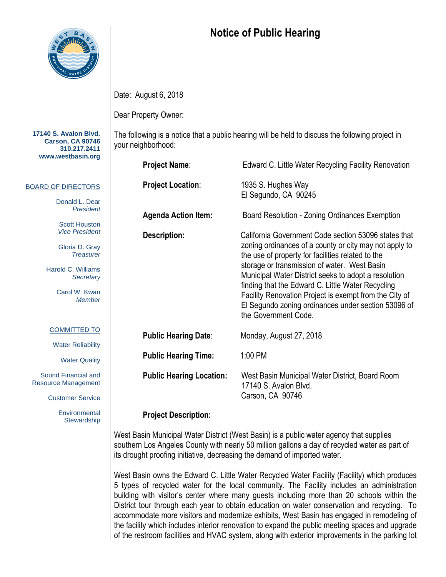

## **Notice of Public Hearing**

The following is a notice that a public hearing will be held to discuss the following project in

Date: August 6, 2018

Dear Property Owner:

your neighborhood:

**17140 S. Avalon Blvd. Carson, CA 90746 310.217.2411 www.westbasin.org**

## BOARD OF DIRECTORS

Donald L. Dear *President*

Scott Houston *Vice President*

Gloria D. Gray *Treasurer*

Harold C. Williams *Secretary*

> Carol W. Kwan *Member*

## COMMITTED TO

Water Reliability

Water Quality

Sound Financial and Resource Management

Customer Service

**Environmental Stewardship** 

| <b>Project Name:</b>            | Edward C. Little Water Recycling Facility Renovation                                                                                                                                                                                                                                                                                                                                                                                                                      |
|---------------------------------|---------------------------------------------------------------------------------------------------------------------------------------------------------------------------------------------------------------------------------------------------------------------------------------------------------------------------------------------------------------------------------------------------------------------------------------------------------------------------|
| <b>Project Location:</b>        | 1935 S. Hughes Way<br>El Segundo, CA 90245                                                                                                                                                                                                                                                                                                                                                                                                                                |
| <b>Agenda Action Item:</b>      | Board Resolution - Zoning Ordinances Exemption                                                                                                                                                                                                                                                                                                                                                                                                                            |
| <b>Description:</b>             | California Government Code section 53096 states that<br>zoning ordinances of a county or city may not apply to<br>the use of property for facilities related to the<br>storage or transmission of water. West Basin<br>Municipal Water District seeks to adopt a resolution<br>finding that the Edward C. Little Water Recycling<br>Facility Renovation Project is exempt from the City of<br>El Segundo zoning ordinances under section 53096 of<br>the Government Code. |
| <b>Public Hearing Date:</b>     | Monday, August 27, 2018                                                                                                                                                                                                                                                                                                                                                                                                                                                   |
| <b>Public Hearing Time:</b>     | 1:00 PM                                                                                                                                                                                                                                                                                                                                                                                                                                                                   |
| <b>Public Hearing Location:</b> | West Basin Municipal Water District, Board Room<br>17140 S. Avalon Blvd.<br>Carson, CA 90746                                                                                                                                                                                                                                                                                                                                                                              |

## **Project Description:**

West Basin Municipal Water District (West Basin) is a public water agency that supplies southern Los Angeles County with nearly 50 million gallons a day of recycled water as part of its drought proofing initiative, decreasing the demand of imported water.

West Basin owns the Edward C. Little Water Recycled Water Facility (Facility) which produces 5 types of recycled water for the local community. The Facility includes an administration building with visitor's center where many guests including more than 20 schools within the District tour through each year to obtain education on water conservation and recycling. To accommodate more visitors and modernize exhibits, West Basin has engaged in remodeling of the facility which includes interior renovation to expand the public meeting spaces and upgrade of the restroom facilities and HVAC system, along with exterior improvements in the parking lot